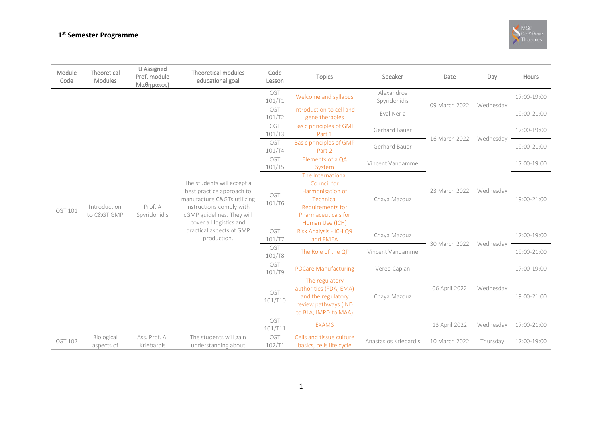## **1 st Semester Programme**



| Module<br>Code | Theoretical<br>Modules    | U Assigned<br>Prof. module<br>Μαθήματος) | Theoretical modules<br>educational goal                                                                                                                                                                                | Code<br>Lesson | <b>Topics</b>                                                                                                                   | Speaker                    | Date          | Day       | Hours                                                    |
|----------------|---------------------------|------------------------------------------|------------------------------------------------------------------------------------------------------------------------------------------------------------------------------------------------------------------------|----------------|---------------------------------------------------------------------------------------------------------------------------------|----------------------------|---------------|-----------|----------------------------------------------------------|
| CGT 101        | Introduction<br>to C> GMP | Prof. A<br>Spyridonidis                  | The students will accept a<br>best practice approach to<br>manufacture C&GTs utilizing<br>instructions comply with<br>cGMP guidelines. They will<br>cover all logistics and<br>practical aspects of GMP<br>production. | CGT<br>101/T1  | Welcome and syllabus                                                                                                            | Alexandros<br>Spyridonidis | 09 March 2022 |           | 17:00-19:00                                              |
|                |                           |                                          |                                                                                                                                                                                                                        | CGT<br>101/T2  | Introduction to cell and<br>gene therapies                                                                                      | Eyal Neria                 |               | Wednesday | 19:00-21:00                                              |
|                |                           |                                          |                                                                                                                                                                                                                        | CGT<br>101/T3  | <b>Basic principles of GMP</b><br>Part 1                                                                                        | Gerhard Bauer              | 16 March 2022 |           | 17:00-19:00                                              |
|                |                           |                                          |                                                                                                                                                                                                                        | CGT<br>101/T4  | <b>Basic principles of GMP</b><br>Part 2                                                                                        | Gerhard Bauer              |               | Wednesday | 19:00-21:00                                              |
|                |                           |                                          |                                                                                                                                                                                                                        | CGT<br>101/T5  | Elements of a QA<br>System                                                                                                      | Vincent Vandamme           | 23 March 2022 |           | 17:00-19:00                                              |
|                |                           |                                          |                                                                                                                                                                                                                        | CGT<br>101/T6  | The International<br>Council for<br>Harmonisation of<br>Technical<br>Requirements for<br>Pharmaceuticals for<br>Human Use (ICH) | Chaya Mazouz               |               | Wednesday | 19:00-21:00<br>17:00-19:00<br>19:00-21:00<br>17:00-19:00 |
|                |                           |                                          |                                                                                                                                                                                                                        | CGT<br>101/T7  | Risk Analysis - ICH Q9<br>and FMEA                                                                                              | Chaya Mazouz               | 30 March 2022 |           | 19:00-21:00                                              |
|                |                           |                                          |                                                                                                                                                                                                                        | CGT<br>101/T8  | The Role of the QP                                                                                                              | Vincent Vandamme           |               | Wednesday |                                                          |
|                |                           |                                          |                                                                                                                                                                                                                        | CGT<br>101/T9  | <b>POCare Manufacturing</b>                                                                                                     | Vered Caplan               | 06 April 2022 |           |                                                          |
|                |                           |                                          |                                                                                                                                                                                                                        | CGT<br>101/T10 | The regulatory<br>authorities (FDA, EMA)<br>and the regulatory<br>review pathways (IND<br>to BLA; IMPD to MAA)                  | Chaya Mazouz               |               | Wednesday |                                                          |
|                |                           |                                          |                                                                                                                                                                                                                        | CGT<br>101/T11 | <b>EXAMS</b>                                                                                                                    |                            | 13 April 2022 | Wednesday | 17:00-21:00                                              |
| <b>CGT 102</b> | Biological<br>aspects of  | Ass. Prof. A.<br>Kriebardis              | The students will gain<br>understanding about                                                                                                                                                                          | CGT<br>102/T1  | Cells and tissue culture<br>basics, cells life cycle                                                                            | Anastasios Kriebardis      | 10 March 2022 | Thursday  | 17:00-19:00                                              |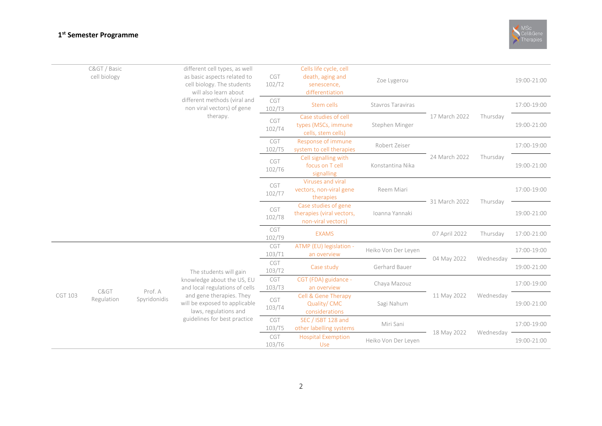## **1 st Semester Programme**

|                | C> / Basic<br>cell biology | different cell types, as well<br>as basic aspects related to<br>cell biology. The students<br>will also learn about<br>different methods (viral and<br>non viral vectors) of gene | CGT<br>102/T2                                                                          | Cells life cycle, cell<br>death, aging and<br>senescence,<br>differentiation       | Zoe Lygerou                                                                         |                     |                                | 19:00-21:00 |             |             |
|----------------|----------------------------|-----------------------------------------------------------------------------------------------------------------------------------------------------------------------------------|----------------------------------------------------------------------------------------|------------------------------------------------------------------------------------|-------------------------------------------------------------------------------------|---------------------|--------------------------------|-------------|-------------|-------------|
|                |                            |                                                                                                                                                                                   | therapy.                                                                               | CGT<br>102/T3                                                                      | Stem cells                                                                          | Stavros Taraviras   | 17 March 2022                  |             | 17:00-19:00 |             |
|                |                            |                                                                                                                                                                                   |                                                                                        | CGT<br>102/T4                                                                      | Case studies of cell<br>types (MSCs, immune<br>cells, stem cells)                   | Stephen Minger      |                                | Thursday    | 19:00-21:00 |             |
|                |                            |                                                                                                                                                                                   |                                                                                        | CGT<br>102/T5                                                                      | Response of immune<br>system to cell therapies                                      | Robert Zeiser       | 24 March 2022<br>31 March 2022 |             | 17:00-19:00 |             |
|                |                            |                                                                                                                                                                                   |                                                                                        | CGT<br>102/T6                                                                      | Cell signalling with<br>focus on T cell<br>signalling                               | Konstantina Nika    |                                | Thursday    | 19:00-21:00 |             |
|                |                            |                                                                                                                                                                                   |                                                                                        | CGT<br>102/T7                                                                      | Viruses and viral<br>vectors, non-viral gene<br>therapies                           | Reem Miari          |                                |             | 17:00-19:00 |             |
|                |                            |                                                                                                                                                                                   |                                                                                        | CGT<br>102/T8                                                                      | Case studies of gene<br>therapies (viral vectors,<br>non-viral vectors)             | Ioanna Yannaki      |                                | Thursday    | 19:00-21:00 |             |
|                |                            |                                                                                                                                                                                   |                                                                                        | CGT<br>102/T9                                                                      | <b>EXAMS</b>                                                                        |                     | 07 April 2022                  | Thursday    | 17:00-21:00 |             |
|                | C><br>Regulation           |                                                                                                                                                                                   | The students will gain<br>knowledge about the US, EU<br>and local regulations of cells | CGT<br>103/T1                                                                      | ATMP (EU) legislation -<br>an overview                                              | Heiko Von Der Leyen | 04 May 2022                    | Wednesday   | 17:00-19:00 |             |
|                |                            |                                                                                                                                                                                   |                                                                                        | CGT<br>103/T2                                                                      | Case study                                                                          | Gerhard Bauer       |                                |             |             | 19:00-21:00 |
|                |                            |                                                                                                                                                                                   |                                                                                        | CGT<br>103/T3                                                                      | CGT (FDA) guidance -<br>an overview                                                 | Chaya Mazouz        | 11 May 2022                    |             | 17:00-19:00 |             |
| <b>CGT 103</b> |                            |                                                                                                                                                                                   | Prof. A<br>Spyridonidis                                                                | and gene therapies. They<br>will be exposed to applicable<br>laws, regulations and | Cell & Gene Therapy<br>CGT<br>Quality/CMC<br>Sagi Nahum<br>103/T4<br>considerations |                     |                                | Wednesday   | 19:00-21:00 |             |
|                |                            |                                                                                                                                                                                   | guidelines for best practice                                                           | CGT<br>103/T5                                                                      | SEC / ISBT 128 and<br>other labelling systems                                       | Miri Sani           | 18 May 2022                    |             | Wednesday   | 17:00-19:00 |
|                |                            |                                                                                                                                                                                   |                                                                                        | CGT<br>103/T6                                                                      | <b>Hospital Exemption</b><br>Use                                                    | Heiko Von Der Leyen |                                |             |             | 19:00-21:00 |